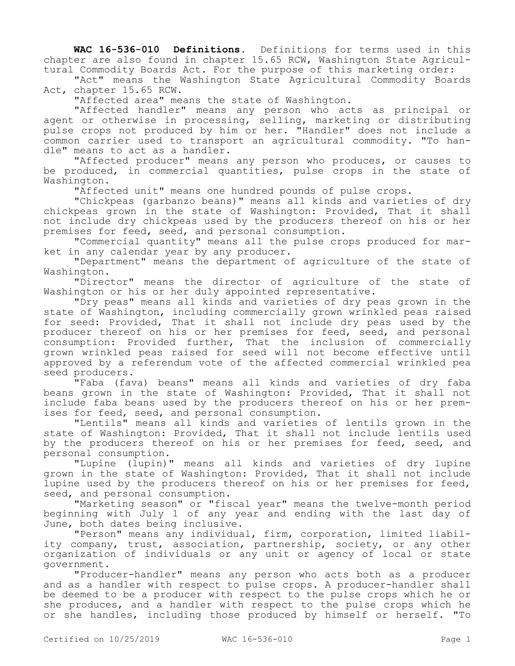**WAC 16-536-010 Definitions.** Definitions for terms used in this chapter are also found in chapter 15.65 RCW, Washington State Agricultural Commodity Boards Act. For the purpose of this marketing order:

"Act" means the Washington State Agricultural Commodity Boards Act, chapter 15.65 RCW.

"Affected area" means the state of Washington.

"Affected handler" means any person who acts as principal or agent or otherwise in processing, selling, marketing or distributing pulse crops not produced by him or her. "Handler" does not include a common carrier used to transport an agricultural commodity. "To handle" means to act as a handler.

"Affected producer" means any person who produces, or causes to be produced, in commercial quantities, pulse crops in the state of Washington.

"Affected unit" means one hundred pounds of pulse crops.

"Chickpeas (garbanzo beans)" means all kinds and varieties of dry chickpeas grown in the state of Washington: Provided, That it shall not include dry chickpeas used by the producers thereof on his or her premises for feed, seed, and personal consumption.

"Commercial quantity" means all the pulse crops produced for market in any calendar year by any producer.

"Department" means the department of agriculture of the state of Washington.

"Director" means the director of agriculture of the state of Washington or his or her duly appointed representative.

"Dry peas" means all kinds and varieties of dry peas grown in the state of Washington, including commercially grown wrinkled peas raised for seed: Provided, That it shall not include dry peas used by the producer thereof on his or her premises for feed, seed, and personal consumption: Provided further, That the inclusion of commercially grown wrinkled peas raised for seed will not become effective until approved by a referendum vote of the affected commercial wrinkled pea seed producers.

"Faba (fava) beans" means all kinds and varieties of dry faba beans grown in the state of Washington: Provided, That it shall not include faba beans used by the producers thereof on his or her premises for feed, seed, and personal consumption.

"Lentils" means all kinds and varieties of lentils grown in the state of Washington: Provided, That it shall not include lentils used by the producers thereof on his or her premises for feed, seed, and personal consumption.

"Lupine (lupin)" means all kinds and varieties of dry lupine grown in the state of Washington: Provided, That it shall not include lupine used by the producers thereof on his or her premises for feed, seed, and personal consumption.

"Marketing season" or "fiscal year" means the twelve-month period beginning with July 1 of any year and ending with the last day of June, both dates being inclusive.

"Person" means any individual, firm, corporation, limited liability company, trust, association, partnership, society, or any other organization of individuals or any unit or agency of local or state government.

"Producer-handler" means any person who acts both as a producer and as a handler with respect to pulse crops. A producer-handler shall be deemed to be a producer with respect to the pulse crops which he or she produces, and a handler with respect to the pulse crops which he or she handles, including those produced by himself or herself. "To